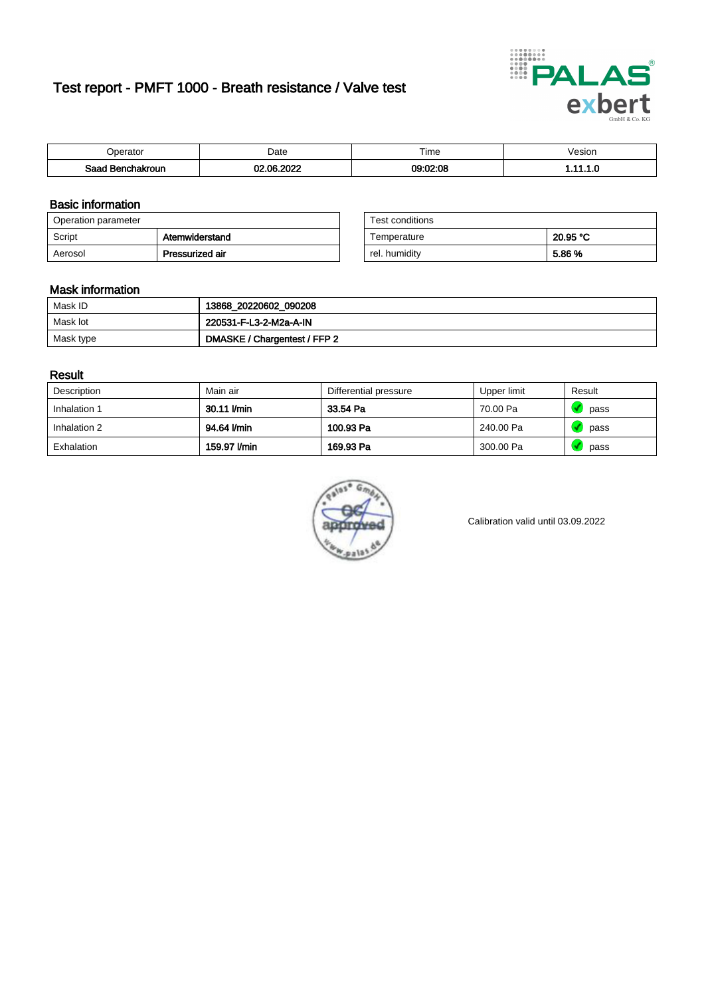# Test report - PMFT 1000 - Breath resistance / Valve test



| n<br>aw                     | Date          | $- \cdot$<br><b>Time</b> | /esion |
|-----------------------------|---------------|--------------------------|--------|
| Saad<br><b>chakroun</b><br> | 000<br>$\sim$ | 09:02:08                 | .      |

### Basic information

| Operation parameter |                 | Test conditions |          |
|---------------------|-----------------|-----------------|----------|
| Script              | Atemwiderstand  | Temperature     | 20.95 °C |
| Aerosol             | Pressurized air | rel. humidity   | 5.86 %   |

| Test conditions |          |
|-----------------|----------|
| Temperature     | 20.95 °C |
| rel. humidity   | 5.86 %   |

### Mask information

| Mask ID   | 13868_20220602_090208        |
|-----------|------------------------------|
| Mask lot  | 220531-F-L3-2-M2a-A-IN       |
| Mask type | DMASKE / Chargentest / FFP 2 |

### Result

| Description  | Main air     | Differential pressure | Upper limit | Result |
|--------------|--------------|-----------------------|-------------|--------|
| Inhalation 1 | 30.11 l/min  | 33.54 Pa              | 70.00 Pa    | pass   |
| Inhalation 2 | 94.64 l/min  | 100.93 Pa             | 240.00 Pa   | pass   |
| Exhalation   | 159.97 l/min | 169.93 Pa             | 300.00 Pa   | pass   |



Calibration valid until 03.09.2022